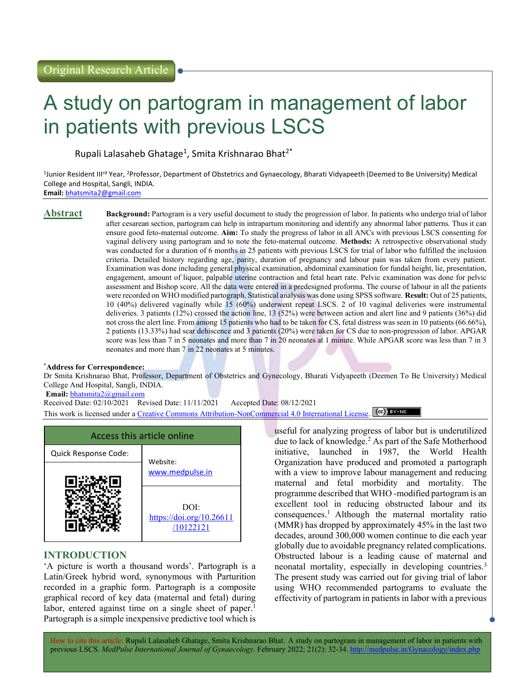# A study on partogram in management of labor in patients with previous LSCS

Rupali Lalasaheb Ghatage<sup>1</sup>, Smita Krishnarao Bhat<sup>2\*</sup>

<sup>1</sup>Junior Resident III<sup>rd</sup> Year, <sup>2</sup>Professor, Department of Obstetrics and Gynaecology, Bharati Vidyapeeth (Deemed to Be University) Medical College and Hospital, Sangli, INDIA. Email: bhatsmita2@gmail.com

Abstract Background: Partogram is a very useful document to study the progression of labor. In patients who undergo trial of labor after cesarean section, partogram can help in intrapartum monitoring and identify any abnormal labor patterns. Thus it can ensure good feto-maternal outcome. Aim: To study the progress of labor in all ANCs with previous LSCS consenting for vaginal delivery using partogram and to note the feto-maternal outcome. Methods: A retrospective observational study was conducted for a duration of 6 months in 25 patients with previous LSCS for trial of labor who fulfilled the inclusion criteria. Detailed history regarding age, parity, duration of pregnancy and labour pain was taken from every patient. Examination was done including general physical examination, abdominal examination for fundal height, lie, presentation, engagement, amount of liquor, palpable uterine contraction and fetal heart rate. Pelvic examination was done for pelvic assessment and Bishop score. All the data were entered in a predesigned proforma. The course of labour in all the patients were recorded on WHO modified partograph. Statistical analysis was done using SPSS software. Result: Out of 25 patients, 10 (40%) delivered vaginally while 15 (60%) underwent repeat LSCS. 2 of 10 vaginal deliveries were instrumental deliveries. 3 patients (12%) crossed the action line, 13 (52%) were between action and alert line and 9 patients (36%) did not cross the alert line. From among 15 patients who had to be taken for CS, fetal distress was seen in 10 patients (66.66%), 2 patients (13.33%) had scar dehiscence and 3 patients (20%) were taken for CS due to non-progression of labor. APGAR score was less than 7 in 5 neonates and more than 7 in 20 neonates at 1 minute. While APGAR score was less than 7 in 3 neonates and more than 7 in 22 neonates at 5 minutes.

### \*Address for Correspondence:

Dr Smita Krishnarao Bhat, Professor, Department of Obstetrics and Gynecology, Bharati Vidyapeeth (Deemen To Be University) Medical College And Hospital, Sangli, INDIA.

Email: bhatsmita2@gmail.com

Received Date: 02/10/2021 Revised Date: 11/11/2021 Accepted Date: 08/12/2021 This work is licensed under a Creative Commons Attribution-NonCommercial 4.0 International License. (CC) BY-NO



# INTRODUCTION

'A picture is worth a thousand words'. Partograph is a Latin/Greek hybrid word, synonymous with Parturition recorded in a graphic form. Partograph is a composite graphical record of key data (maternal and fetal) during labor, entered against time on a single sheet of paper.<sup>1</sup> Partograph is a simple inexpensive predictive tool which is useful for analyzing progress of labor but is underutilized due to lack of knowledge.<sup>2</sup> As part of the Safe Motherhood initiative, launched in 1987, the World Health Organization have produced and promoted a partograph with a view to improve labour management and reducing maternal and fetal morbidity and mortality. The programme described that WHO -modified partogram is an excellent tool in reducing obstructed labour and its  $consequences.<sup>1</sup>$  Although the maternal mortality ratio (MMR) has dropped by approximately 45% in the last two decades, around 300,000 women continue to die each year globally due to avoidable pregnancy related complications. Obstructed labour is a leading cause of maternal and neonatal mortality, especially in developing countries.<sup>3</sup> The present study was carried out for giving trial of labor using WHO recommended partograms to evaluate the effectivity of partogram in patients in labor with a previous

How to cite this article: Rupali Lalasaheb Ghatage, Smita Krishnarao Bhat. A study on partogram in management of labor in patients with previous LSCS. MedPulse International Journal of Gynaecology. February 2022; 21(2): 32-34. http://medpulse.in/Gynacology/index.php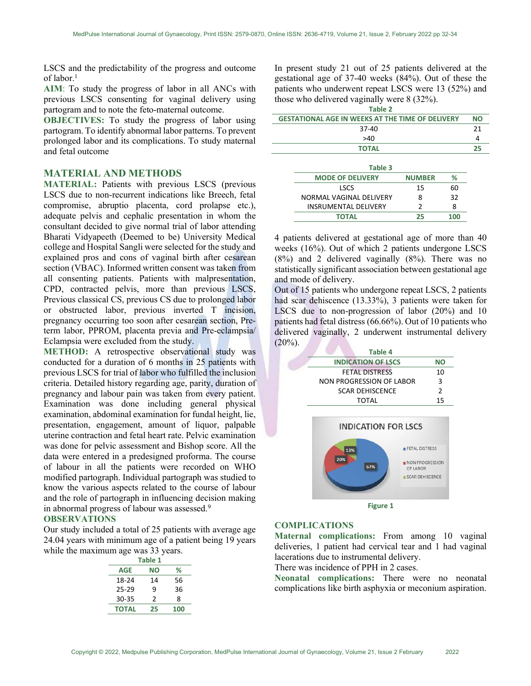LSCS and the predictability of the progress and outcome of labor.<sup>1</sup>

AIM: To study the progress of labor in all ANCs with previous LSCS consenting for vaginal delivery using partogram and to note the feto-maternal outcome.

OBJECTIVES: To study the progress of labor using partogram. To identify abnormal labor patterns. To prevent prolonged labor and its complications. To study maternal and fetal outcome

# MATERIAL AND METHODS

MATERIAL: Patients with previous LSCS (previous LSCS due to non-recurrent indications like Breech, fetal compromise, abruptio placenta, cord prolapse etc.), adequate pelvis and cephalic presentation in whom the consultant decided to give normal trial of labor attending Bharati Vidyapeeth (Deemed to be) University Medical college and Hospital Sangli were selected for the study and explained pros and cons of vaginal birth after cesarean section (VBAC). Informed written consent was taken from all consenting patients. Patients with malpresentation, CPD, contracted pelvis, more than previous LSCS, Previous classical CS, previous CS due to prolonged labor or obstructed labor, previous inverted T incision, pregnancy occurring too soon after cesarean section, Preterm labor, PPROM, placenta previa and Pre-eclampsia/ Eclampsia were excluded from the study.

METHOD: A retrospective observational study was conducted for a duration of 6 months in 25 patients with previous LSCS for trial of labor who fulfilled the inclusion criteria. Detailed history regarding age, parity, duration of pregnancy and labour pain was taken from every patient. Examination was done including general physical examination, abdominal examination for fundal height, lie, presentation, engagement, amount of liquor, palpable uterine contraction and fetal heart rate. Pelvic examination was done for pelvic assessment and Bishop score. All the data were entered in a predesigned proforma. The course of labour in all the patients were recorded on WHO modified partograph. Individual partograph was studied to know the various aspects related to the course of labour and the role of partograph in influencing decision making in abnormal progress of labour was assessed.<sup>9</sup>

# OBSERVATIONS

Our study included a total of 25 patients with average age 24.04 years with minimum age of a patient being 19 years while the maximum age was 33 years.

| Table 1      |    |     |  |  |
|--------------|----|-----|--|--|
| <b>AGE</b>   | NΟ | %   |  |  |
| 18-24        | 14 | 56  |  |  |
| $25 - 29$    | ٩  | 36  |  |  |
| 30-35        | 2  | 8   |  |  |
| <b>TOTAL</b> | 25 | 100 |  |  |

In present study 21 out of 25 patients delivered at the gestational age of 37-40 weeks (84%). Out of these the patients who underwent repeat LSCS were 13 (52%) and those who delivered vaginally were 8 (32%). Table 2

| Table 2                                                 |    |  |  |  |
|---------------------------------------------------------|----|--|--|--|
| <b>GESTATIONAL AGE IN WEEKS AT THE TIME OF DELIVERY</b> | NΟ |  |  |  |
| 37-40                                                   | 21 |  |  |  |
| >40                                                     |    |  |  |  |
| <b>TOTAL</b>                                            | つら |  |  |  |

| Table 3                     |               |     |
|-----------------------------|---------------|-----|
| <b>MODE OF DELIVERY</b>     | <b>NUMBER</b> | %   |
| <b>LSCS</b>                 | 15            | 60  |
| NORMAL VAGINAL DELIVERY     | Ջ             | 32  |
| <b>INSRUMENTAL DELIVERY</b> | っ             | Ջ   |
| <b>TOTAL</b>                | つら            | 100 |

4 patients delivered at gestational age of more than 40 weeks (16%). Out of which 2 patients undergone LSCS (8%) and 2 delivered vaginally (8%). There was no statistically significant association between gestational age and mode of delivery.

Out of 15 patients who undergone repeat LSCS, 2 patients had scar dehiscence (13.33%), 3 patients were taken for LSCS due to non-progression of labor (20%) and 10 patients had fetal distress (66.66%). Out of 10 patients who delivered vaginally, 2 underwent instrumental delivery  $(20\%)$ .

| Table 4                   |    |
|---------------------------|----|
| <b>INDICATION OF LSCS</b> | חח |
| <b>FETAL DISTRESS</b>     | 10 |
| NON PROGRESSION OF LABOR  | 3  |
| <b>SCAR DEHISCENCE</b>    | 2  |
| TOTAL                     | 15 |
|                           |    |





#### COMPLICATIONS

Maternal complications: From among 10 vaginal deliveries, 1 patient had cervical tear and 1 had vaginal lacerations due to instrumental delivery.

There was incidence of PPH in 2 cases.

Neonatal complications: There were no neonatal complications like birth asphyxia or meconium aspiration.